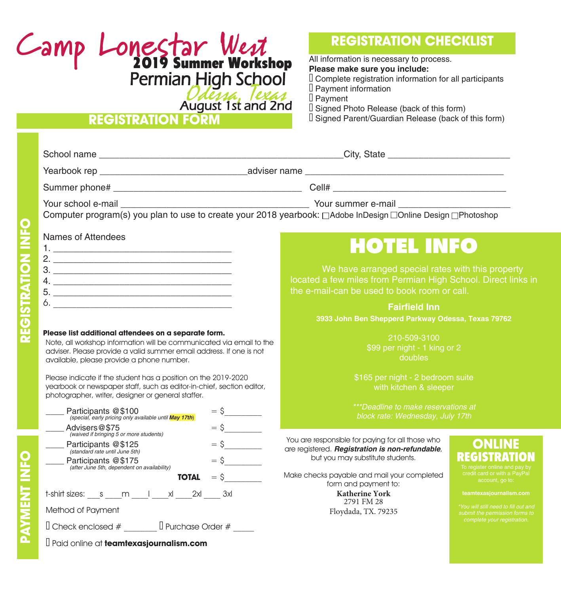# **Camp Lonestar** West 2019 Summer Workshop Permian High School

Udessa, *Texas*<br>August 1st and 2nd

#### **REGISTRATION FORM**

### **REGISTRATION CHECKLIST**

All information is necessary to process. **Please make sure you include:** Complete registration information for all participants Payment information D Payment Signed Photo Release (back of this form) Signed Parent/Guardian Release (back of this form)

|   | Computer program(s) you plan to use to create your 2018 yearbook: □Adobe InDesign □Online Design □Photoshop                                                                                                                                      |                                                                                                                                                                                                                                                                    |  |  |
|---|--------------------------------------------------------------------------------------------------------------------------------------------------------------------------------------------------------------------------------------------------|--------------------------------------------------------------------------------------------------------------------------------------------------------------------------------------------------------------------------------------------------------------------|--|--|
|   | Names of Attendees                                                                                                                                                                                                                               | <b>HOTEL INFO</b>                                                                                                                                                                                                                                                  |  |  |
|   | 3.                                                                                                                                                                                                                                               | We have arranged special rates with this property<br>located a few miles from Permian High School. Direct links in<br>the e-mail-can be used to book room or call.                                                                                                 |  |  |
|   |                                                                                                                                                                                                                                                  | <b>Fairfield Inn</b><br>3933 John Ben Shepperd Parkway Odessa, Texas 79762                                                                                                                                                                                         |  |  |
|   | Please list additional attendees on a separate form.<br>Note, all workshop information will be communicated via email to the<br>adviser. Please provide a valid summer email address. If one is not<br>available, please provide a phone number. | 210-509-3100<br>\$99 per night - 1 king or 2<br>doubles                                                                                                                                                                                                            |  |  |
|   | Please indicate if the student has a position on the 2019-2020<br>yearbook or newspaper staff, such as editor-in-chief, section editor,<br>photographer, writer, designer or general staffer.                                                    | \$165 per night - 2 bedroom suite<br>with kitchen & sleeper                                                                                                                                                                                                        |  |  |
|   | Participants @\$100<br>(special, early pricing only available until <b>May 17th)</b>                                                                                                                                                             | ***Deadline to make reservations at<br>block rate: Wednesday, July 17th                                                                                                                                                                                            |  |  |
|   | $=$ \$<br>Advisers@\$75<br>waived if bringing 5 or more students)<br>$=$ \$<br>Participants @\$125<br>(standard rate until June 5th)<br>$=$ \$<br>Participants @\$175<br>(after June 5th, dependent on availability)<br>$=$ \$<br><b>TOTAL</b>   | You are responsible for paying for all those who<br>are registered. Registration is non-refundable,<br>EGISTRI<br>but you may substitute students.<br>To register online and pay by<br>credit card or with a PayPal<br>Make checks payable and mail your completed |  |  |
|   | t-shirt sizes: s m   xl 2xl 3xl                                                                                                                                                                                                                  | account, go to:<br>form and payment to:<br><b>Katherine York</b><br>teamtexasjournalism.com<br>2791 FM 28                                                                                                                                                          |  |  |
|   | Method of Payment                                                                                                                                                                                                                                | *You will still need to fill out and<br>Floydada, TX. 79235<br>submit the permission forms to<br>complete your registration.                                                                                                                                       |  |  |
|   |                                                                                                                                                                                                                                                  |                                                                                                                                                                                                                                                                    |  |  |
| Δ | Paid online at teamtexasjournalism.com                                                                                                                                                                                                           |                                                                                                                                                                                                                                                                    |  |  |